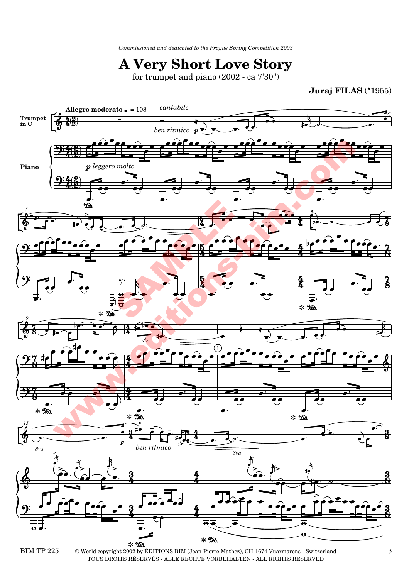*Commissioned and dedicated to the Prague Spring Competition 2003*

## **A Very Short Love Story**

for trumpet and piano (2002 - ca 7'30")

**Juraj FILAS** (\*1955)



BIM TP 225 © World copyright 2002 by ÉDITIONS BIM (Jean-Pierre Mathez), CH-1674 Vuarmarens - Switzerland TOUS DROITS RÉSERVÉS - ALLE RECHTE VORBEHALTEN - ALL RIGHTS RESERVED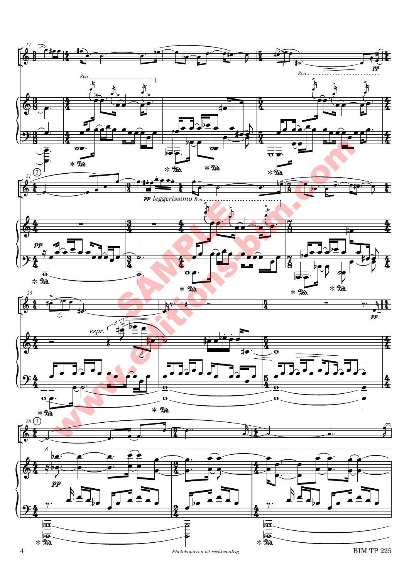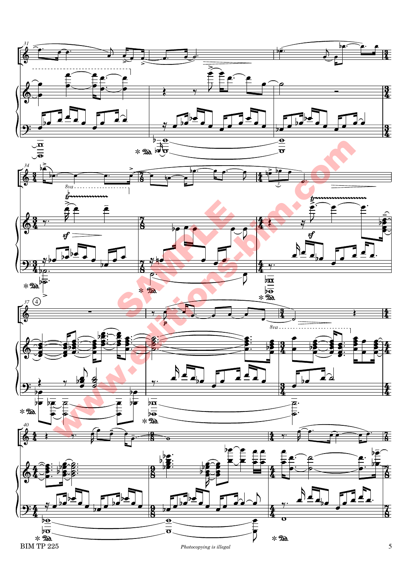